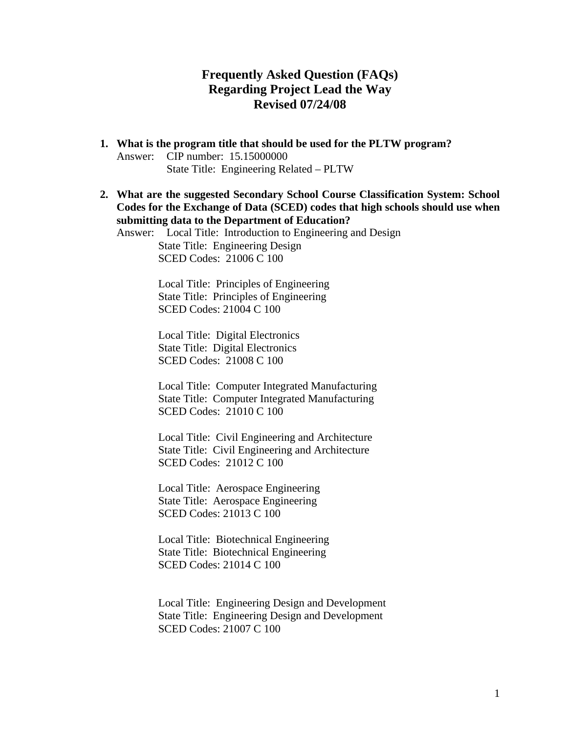## **Frequently Asked Question (FAQs) Regarding Project Lead the Way Revised 07/24/08**

- **1. What is the program title that should be used for the PLTW program?**  Answer: CIP number: 15.15000000 State Title: Engineering Related – PLTW
- **2. What are the suggested Secondary School Course Classification System: School Codes for the Exchange of Data (SCED) codes that high schools should use when submitting data to the Department of Education?**

Answer: Local Title: Introduction to Engineering and Design State Title: Engineering Design SCED Codes: 21006 C 100

> Local Title: Principles of Engineering State Title: Principles of Engineering SCED Codes: 21004 C 100

Local Title: Digital Electronics State Title: Digital Electronics SCED Codes: 21008 C 100

Local Title: Computer Integrated Manufacturing State Title: Computer Integrated Manufacturing SCED Codes: 21010 C 100

Local Title: Civil Engineering and Architecture State Title: Civil Engineering and Architecture SCED Codes: 21012 C 100

Local Title: Aerospace Engineering State Title: Aerospace Engineering SCED Codes: 21013 C 100

Local Title: Biotechnical Engineering State Title: Biotechnical Engineering SCED Codes: 21014 C 100

Local Title: Engineering Design and Development State Title: Engineering Design and Development SCED Codes: 21007 C 100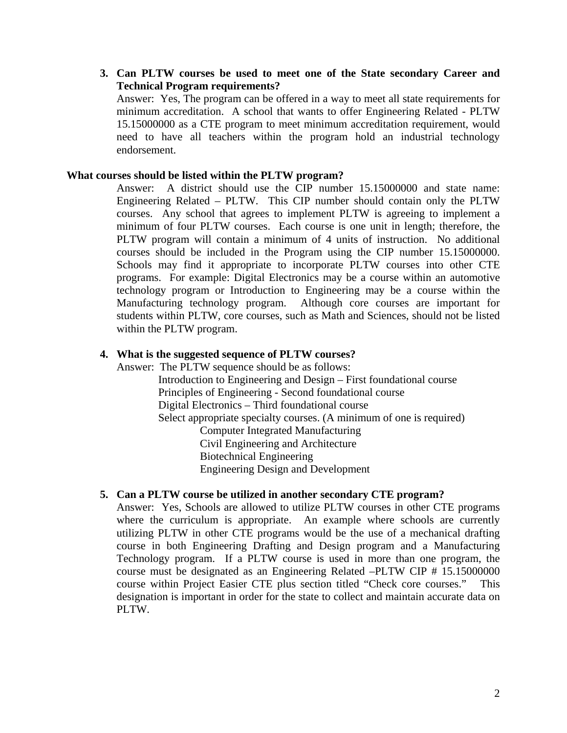**3. Can PLTW courses be used to meet one of the State secondary Career and Technical Program requirements?** 

Answer: Yes, The program can be offered in a way to meet all state requirements for minimum accreditation. A school that wants to offer Engineering Related - PLTW 15.15000000 as a CTE program to meet minimum accreditation requirement, would need to have all teachers within the program hold an industrial technology endorsement.

#### **What courses should be listed within the PLTW program?**

Answer: A district should use the CIP number 15.15000000 and state name: Engineering Related – PLTW. This CIP number should contain only the PLTW courses. Any school that agrees to implement PLTW is agreeing to implement a minimum of four PLTW courses. Each course is one unit in length; therefore, the PLTW program will contain a minimum of 4 units of instruction. No additional courses should be included in the Program using the CIP number 15.15000000. Schools may find it appropriate to incorporate PLTW courses into other CTE programs. For example: Digital Electronics may be a course within an automotive technology program or Introduction to Engineering may be a course within the Manufacturing technology program. Although core courses are important for students within PLTW, core courses, such as Math and Sciences, should not be listed within the PLTW program.

#### **4. What is the suggested sequence of PLTW courses?**

Answer: The PLTW sequence should be as follows: Introduction to Engineering and Design – First foundational course Principles of Engineering - Second foundational course Digital Electronics – Third foundational course Select appropriate specialty courses. (A minimum of one is required) Computer Integrated Manufacturing Civil Engineering and Architecture Biotechnical Engineering Engineering Design and Development

#### **5. Can a PLTW course be utilized in another secondary CTE program?**

Answer: Yes, Schools are allowed to utilize PLTW courses in other CTE programs where the curriculum is appropriate. An example where schools are currently utilizing PLTW in other CTE programs would be the use of a mechanical drafting course in both Engineering Drafting and Design program and a Manufacturing Technology program. If a PLTW course is used in more than one program, the course must be designated as an Engineering Related –PLTW CIP # 15.15000000 course within Project Easier CTE plus section titled "Check core courses." This designation is important in order for the state to collect and maintain accurate data on PLTW.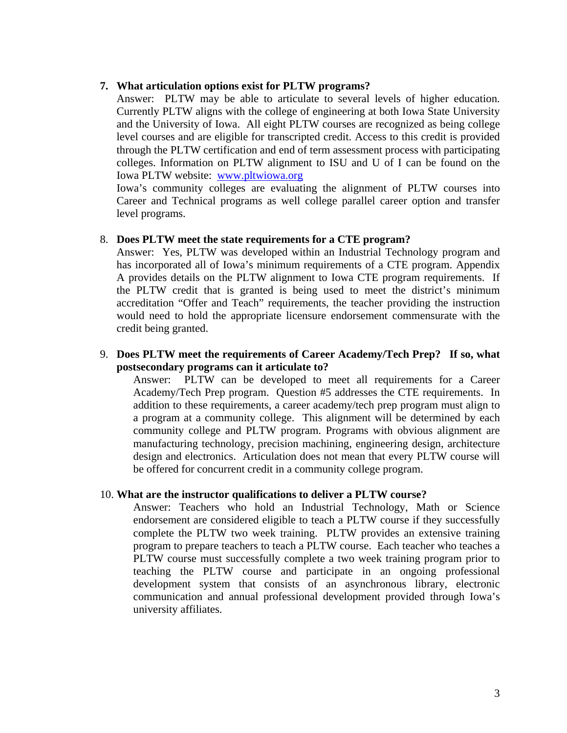#### **7. What articulation options exist for PLTW programs?**

Answer: PLTW may be able to articulate to several levels of higher education. Currently PLTW aligns with the college of engineering at both Iowa State University and the University of Iowa. All eight PLTW courses are recognized as being college level courses and are eligible for transcripted credit. Access to this credit is provided through the PLTW certification and end of term assessment process with participating colleges. Information on PLTW alignment to ISU and U of I can be found on the Iowa PLTW website: [www.pltwiowa.org](http://www.pltwiowa.org/)

Iowa's community colleges are evaluating the alignment of PLTW courses into Career and Technical programs as well college parallel career option and transfer level programs.

#### 8. **Does PLTW meet the state requirements for a CTE program?**

Answer: Yes, PLTW was developed within an Industrial Technology program and has incorporated all of Iowa's minimum requirements of a CTE program. Appendix A provides details on the PLTW alignment to Iowa CTE program requirements. If the PLTW credit that is granted is being used to meet the district's minimum accreditation "Offer and Teach" requirements, the teacher providing the instruction would need to hold the appropriate licensure endorsement commensurate with the credit being granted.

#### 9. **Does PLTW meet the requirements of Career Academy/Tech Prep? If so, what postsecondary programs can it articulate to?**

Answer: PLTW can be developed to meet all requirements for a Career Academy/Tech Prep program. Question #5 addresses the CTE requirements. In addition to these requirements, a career academy/tech prep program must align to a program at a community college. This alignment will be determined by each community college and PLTW program. Programs with obvious alignment are manufacturing technology, precision machining, engineering design, architecture design and electronics. Articulation does not mean that every PLTW course will be offered for concurrent credit in a community college program.

#### 10. **What are the instructor qualifications to deliver a PLTW course?**

Answer: Teachers who hold an Industrial Technology, Math or Science endorsement are considered eligible to teach a PLTW course if they successfully complete the PLTW two week training. PLTW provides an extensive training program to prepare teachers to teach a PLTW course. Each teacher who teaches a PLTW course must successfully complete a two week training program prior to teaching the PLTW course and participate in an ongoing professional development system that consists of an asynchronous library, electronic communication and annual professional development provided through Iowa's university affiliates.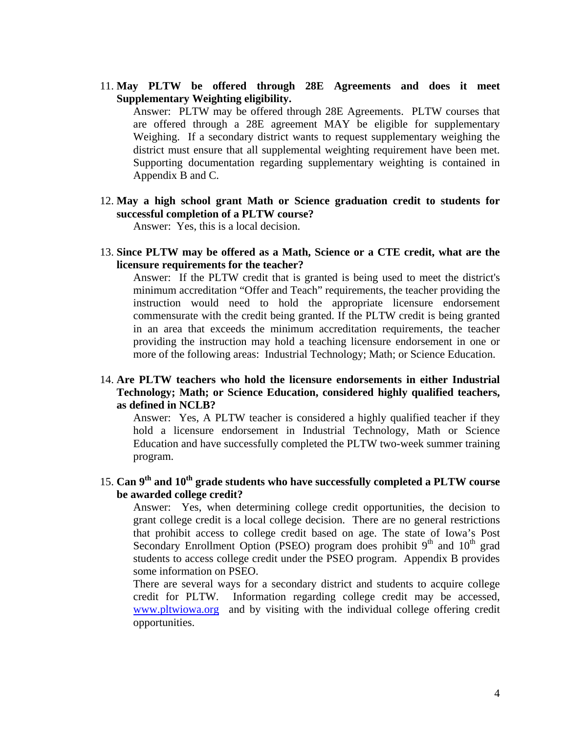11. **May PLTW be offered through 28E Agreements and does it meet Supplementary Weighting eligibility.** 

Answer: PLTW may be offered through 28E Agreements. PLTW courses that are offered through a 28E agreement MAY be eligible for supplementary Weighing. If a secondary district wants to request supplementary weighing the district must ensure that all supplemental weighting requirement have been met. Supporting documentation regarding supplementary weighting is contained in Appendix B and C.

12. **May a high school grant Math or Science graduation credit to students for successful completion of a PLTW course?** 

Answer: Yes, this is a local decision.

13. **Since PLTW may be offered as a Math, Science or a CTE credit, what are the licensure requirements for the teacher?** 

Answer: If the PLTW credit that is granted is being used to meet the district's minimum accreditation "Offer and Teach" requirements, the teacher providing the instruction would need to hold the appropriate licensure endorsement commensurate with the credit being granted. If the PLTW credit is being granted in an area that exceeds the minimum accreditation requirements, the teacher providing the instruction may hold a teaching licensure endorsement in one or more of the following areas: Industrial Technology; Math; or Science Education.

#### 14. **Are PLTW teachers who hold the licensure endorsements in either Industrial Technology; Math; or Science Education, considered highly qualified teachers, as defined in NCLB?**

Answer: Yes, A PLTW teacher is considered a highly qualified teacher if they hold a licensure endorsement in Industrial Technology, Math or Science Education and have successfully completed the PLTW two-week summer training program.

15. **Can 9th and 10th grade students who have successfully completed a PLTW course be awarded college credit?** 

Answer: Yes, when determining college credit opportunities, the decision to grant college credit is a local college decision. There are no general restrictions that prohibit access to college credit based on age. The state of Iowa's Post Secondary Enrollment Option (PSEO) program does prohibit  $9<sup>th</sup>$  and  $10<sup>th</sup>$  grad students to access college credit under the PSEO program. Appendix B provides some information on PSEO.

There are several ways for a secondary district and students to acquire college credit for PLTW. Information regarding college credit may be accessed, [www.pltwiowa.org](http://www.pltwiowa.org/) and by visiting with the individual college offering credit opportunities.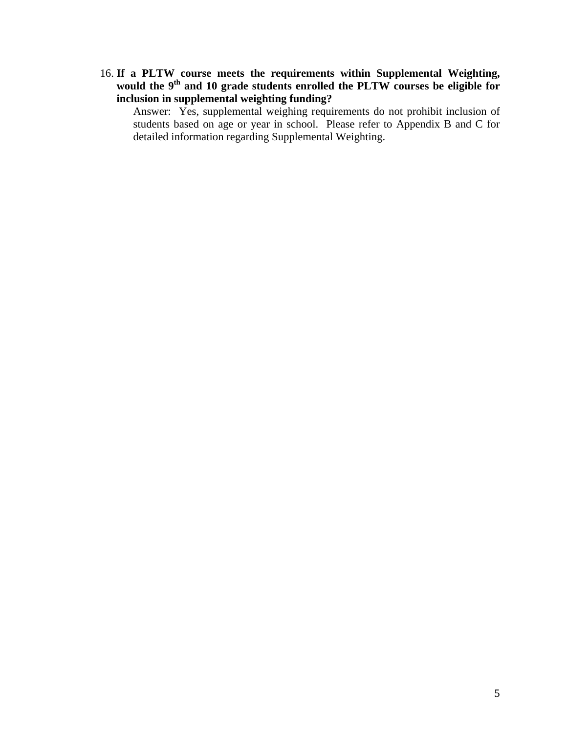16. **If a PLTW course meets the requirements within Supplemental Weighting, would the 9th and 10 grade students enrolled the PLTW courses be eligible for inclusion in supplemental weighting funding?** 

Answer: Yes, supplemental weighing requirements do not prohibit inclusion of students based on age or year in school. Please refer to Appendix B and C for detailed information regarding Supplemental Weighting.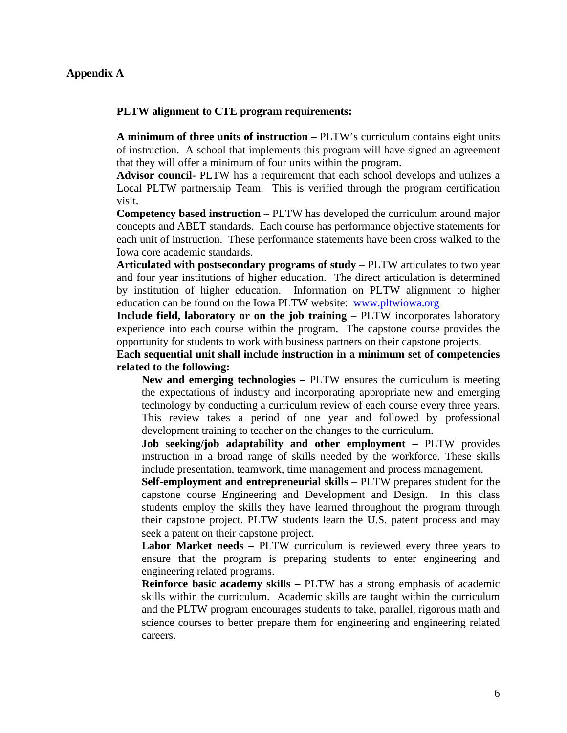#### **Appendix A**

#### **PLTW alignment to CTE program requirements:**

**A minimum of three units of instruction –** PLTW's curriculum contains eight units of instruction. A school that implements this program will have signed an agreement that they will offer a minimum of four units within the program.

**Advisor council-** PLTW has a requirement that each school develops and utilizes a Local PLTW partnership Team. This is verified through the program certification visit.

**Competency based instruction** – PLTW has developed the curriculum around major concepts and ABET standards. Each course has performance objective statements for each unit of instruction. These performance statements have been cross walked to the Iowa core academic standards.

**Articulated with postsecondary programs of study** – PLTW articulates to two year and four year institutions of higher education. The direct articulation is determined by institution of higher education. Information on PLTW alignment to higher education can be found on the Iowa PLTW website: [www.pltwiowa.org](http://www.pltwiowa.org/)

**Include field, laboratory or on the job training** – PLTW incorporates laboratory experience into each course within the program. The capstone course provides the opportunity for students to work with business partners on their capstone projects.

**Each sequential unit shall include instruction in a minimum set of competencies related to the following:** 

**New and emerging technologies –** PLTW ensures the curriculum is meeting the expectations of industry and incorporating appropriate new and emerging technology by conducting a curriculum review of each course every three years. This review takes a period of one year and followed by professional development training to teacher on the changes to the curriculum.

**Job seeking/job adaptability and other employment – PLTW provides** instruction in a broad range of skills needed by the workforce. These skills include presentation, teamwork, time management and process management.

**Self-employment and entrepreneurial skills** – PLTW prepares student for the capstone course Engineering and Development and Design. In this class students employ the skills they have learned throughout the program through their capstone project. PLTW students learn the U.S. patent process and may seek a patent on their capstone project.

**Labor Market needs –** PLTW curriculum is reviewed every three years to ensure that the program is preparing students to enter engineering and engineering related programs.

**Reinforce basic academy skills –** PLTW has a strong emphasis of academic skills within the curriculum. Academic skills are taught within the curriculum and the PLTW program encourages students to take, parallel, rigorous math and science courses to better prepare them for engineering and engineering related careers.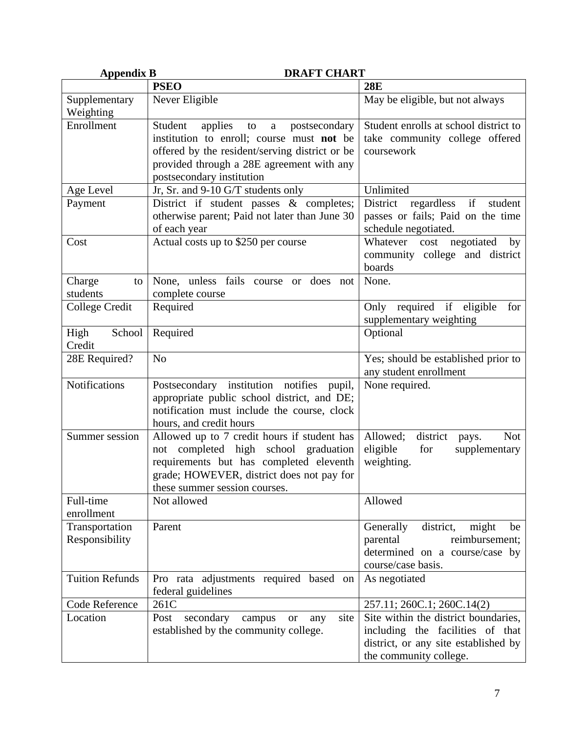| <b>Appendix B</b>      | <b>DRAFT CHART</b>                                      |                                                               |
|------------------------|---------------------------------------------------------|---------------------------------------------------------------|
|                        | <b>PSEO</b>                                             | <b>28E</b>                                                    |
| Supplementary          | Never Eligible                                          | May be eligible, but not always                               |
| Weighting              |                                                         |                                                               |
| Enrollment             | applies<br>Student<br>a<br>postsecondary<br>to          | Student enrolls at school district to                         |
|                        | institution to enroll; course must not be               | take community college offered                                |
|                        | offered by the resident/serving district or be          | coursework                                                    |
|                        | provided through a 28E agreement with any               |                                                               |
|                        | postsecondary institution                               |                                                               |
| Age Level              | Jr, Sr. and 9-10 G/T students only                      | Unlimited                                                     |
| Payment                | District if student passes & completes;                 | District<br>regardless if<br>student                          |
|                        | otherwise parent; Paid not later than June 30           | passes or fails; Paid on the time                             |
|                        | of each year                                            | schedule negotiated.                                          |
| Cost                   | Actual costs up to \$250 per course                     | Whatever cost negotiated<br>by                                |
|                        |                                                         | community college and district                                |
|                        |                                                         | boards                                                        |
| Charge<br>to           | None, unless fails course or does not                   | None.                                                         |
| students               | complete course                                         |                                                               |
| College Credit         | Required                                                | Only required if eligible<br>for                              |
|                        |                                                         | supplementary weighting                                       |
| High<br>School         | Required                                                | Optional                                                      |
| Credit                 | N <sub>o</sub>                                          |                                                               |
| 28E Required?          |                                                         | Yes; should be established prior to<br>any student enrollment |
| Notifications          | Postsecondary institution notifies<br>pupil,            | None required.                                                |
|                        | appropriate public school district, and DE;             |                                                               |
|                        | notification must include the course, clock             |                                                               |
|                        | hours, and credit hours                                 |                                                               |
| Summer session         | Allowed up to 7 credit hours if student has             | Allowed;<br>district<br><b>Not</b><br>pays.                   |
|                        | not completed high school graduation                    | eligible<br>for<br>supplementary                              |
|                        | requirements but has completed eleventh                 | weighting.                                                    |
|                        | grade; HOWEVER, district does not pay for               |                                                               |
|                        | these summer session courses.                           |                                                               |
| Full-time              | Not allowed                                             | Allowed                                                       |
| enrollment             |                                                         |                                                               |
| Transportation         | Parent                                                  | district,<br>might<br>Generally<br>be                         |
| Responsibility         |                                                         | reimbursement;<br>parental                                    |
|                        |                                                         | determined on a course/case by                                |
|                        |                                                         | course/case basis.                                            |
| <b>Tuition Refunds</b> | Pro rata adjustments required based on                  | As negotiated                                                 |
|                        | federal guidelines                                      |                                                               |
| Code Reference         | 261C                                                    | 257.11; 260C.1; 260C.14(2)                                    |
| Location               | Post<br>secondary<br>campus<br>site<br><b>or</b><br>any | Site within the district boundaries,                          |
|                        | established by the community college.                   | including the facilities of that                              |
|                        |                                                         | district, or any site established by                          |
|                        |                                                         | the community college.                                        |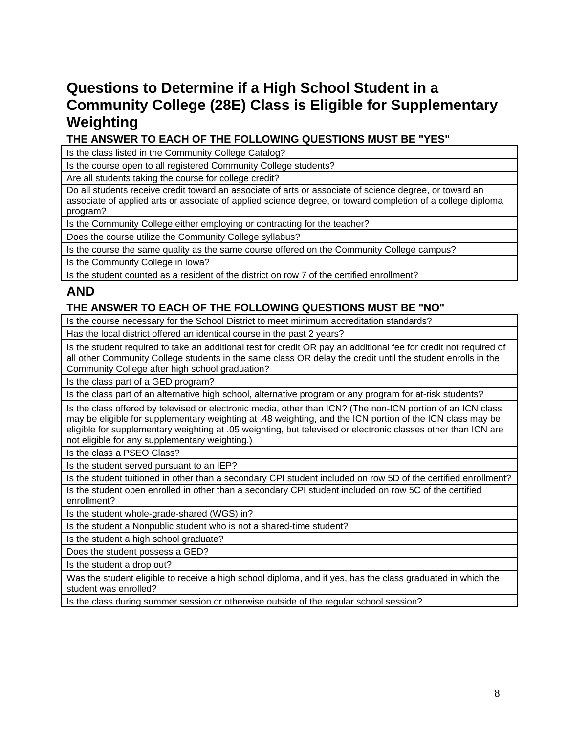# **Questions to Determine if a High School Student in a Community College (28E) Class is Eligible for Supplementary Weighting**

**THE ANSWER TO EACH OF THE FOLLOWING QUESTIONS MUST BE "YES"**

Is the class listed in the Community College Catalog?

Is the course open to all registered Community College students?

Are all students taking the course for college credit?

Do all students receive credit toward an associate of arts or associate of science degree, or toward an associate of applied arts or associate of applied science degree, or toward completion of a college diploma program?

Is the Community College either employing or contracting for the teacher?

Does the course utilize the Community College syllabus?

Is the course the same quality as the same course offered on the Community College campus?

Is the Community College in Iowa?

Is the student counted as a resident of the district on row 7 of the certified enrollment?

## **AND**

## **THE ANSWER TO EACH OF THE FOLLOWING QUESTIONS MUST BE "NO"**

Is the course necessary for the School District to meet minimum accreditation standards?

Has the local district offered an identical course in the past 2 years?

Is the student required to take an additional test for credit OR pay an additional fee for credit not required of all other Community College students in the same class OR delay the credit until the student enrolls in the Community College after high school graduation?

Is the class part of a GED program?

Is the class part of an alternative high school, alternative program or any program for at-risk students?

Is the class offered by televised or electronic media, other than ICN? (The non-ICN portion of an ICN class may be eligible for supplementary weighting at .48 weighting, and the ICN portion of the ICN class may be eligible for supplementary weighting at .05 weighting, but televised or electronic classes other than ICN are not eligible for any supplementary weighting.)

Is the class a PSEO Class?

Is the student served pursuant to an IEP?

Is the student tuitioned in other than a secondary CPI student included on row 5D of the certified enrollment? Is the student open enrolled in other than a secondary CPI student included on row 5C of the certified enrollment?

Is the student whole-grade-shared (WGS) in?

Is the student a Nonpublic student who is not a shared-time student?

Is the student a high school graduate?

Does the student possess a GED?

Is the student a drop out?

Was the student eligible to receive a high school diploma, and if yes, has the class graduated in which the student was enrolled?

Is the class during summer session or otherwise outside of the regular school session?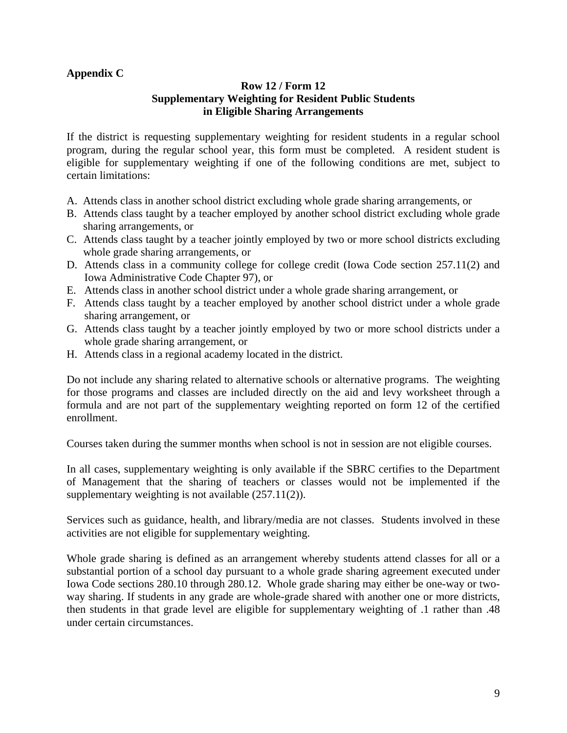## **Appendix C**

## **Row 12 / Form 12 Supplementary Weighting for Resident Public Students in Eligible Sharing Arrangements**

If the district is requesting supplementary weighting for resident students in a regular school program, during the regular school year, this form must be completed. A resident student is eligible for supplementary weighting if one of the following conditions are met, subject to certain limitations:

- A. Attends class in another school district excluding whole grade sharing arrangements, or
- B. Attends class taught by a teacher employed by another school district excluding whole grade sharing arrangements, or
- C. Attends class taught by a teacher jointly employed by two or more school districts excluding whole grade sharing arrangements, or
- D. Attends class in a community college for college credit (Iowa Code section 257.11(2) and Iowa Administrative Code Chapter 97), or
- E. Attends class in another school district under a whole grade sharing arrangement, or
- F. Attends class taught by a teacher employed by another school district under a whole grade sharing arrangement, or
- G. Attends class taught by a teacher jointly employed by two or more school districts under a whole grade sharing arrangement, or
- H. Attends class in a regional academy located in the district.

Do not include any sharing related to alternative schools or alternative programs. The weighting for those programs and classes are included directly on the aid and levy worksheet through a formula and are not part of the supplementary weighting reported on form 12 of the certified enrollment.

Courses taken during the summer months when school is not in session are not eligible courses.

In all cases, supplementary weighting is only available if the SBRC certifies to the Department of Management that the sharing of teachers or classes would not be implemented if the supplementary weighting is not available (257.11(2)).

Services such as guidance, health, and library/media are not classes. Students involved in these activities are not eligible for supplementary weighting.

Whole grade sharing is defined as an arrangement whereby students attend classes for all or a substantial portion of a school day pursuant to a whole grade sharing agreement executed under Iowa Code sections 280.10 through 280.12. Whole grade sharing may either be one-way or twoway sharing. If students in any grade are whole-grade shared with another one or more districts, then students in that grade level are eligible for supplementary weighting of .1 rather than .48 under certain circumstances.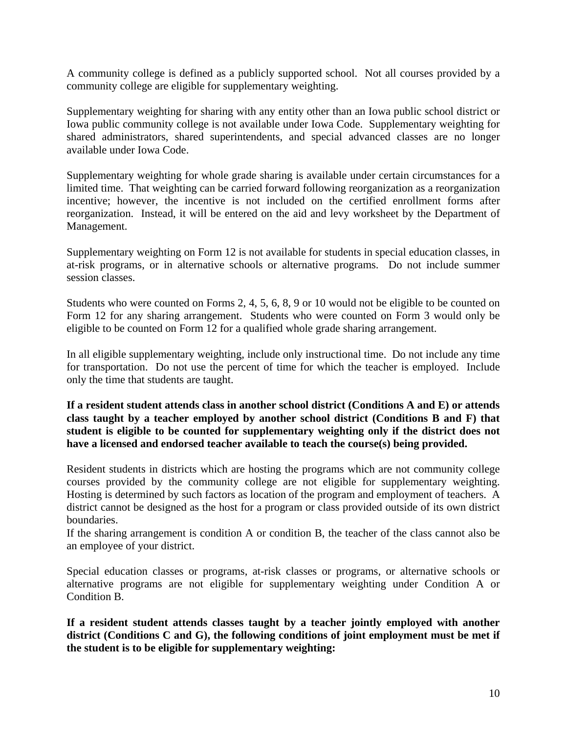A community college is defined as a publicly supported school. Not all courses provided by a community college are eligible for supplementary weighting.

Supplementary weighting for sharing with any entity other than an Iowa public school district or Iowa public community college is not available under Iowa Code. Supplementary weighting for shared administrators, shared superintendents, and special advanced classes are no longer available under Iowa Code.

Supplementary weighting for whole grade sharing is available under certain circumstances for a limited time. That weighting can be carried forward following reorganization as a reorganization incentive; however, the incentive is not included on the certified enrollment forms after reorganization. Instead, it will be entered on the aid and levy worksheet by the Department of Management.

Supplementary weighting on Form 12 is not available for students in special education classes, in at-risk programs, or in alternative schools or alternative programs. Do not include summer session classes.

Students who were counted on Forms 2, 4, 5, 6, 8, 9 or 10 would not be eligible to be counted on Form 12 for any sharing arrangement. Students who were counted on Form 3 would only be eligible to be counted on Form 12 for a qualified whole grade sharing arrangement.

In all eligible supplementary weighting, include only instructional time. Do not include any time for transportation. Do not use the percent of time for which the teacher is employed. Include only the time that students are taught.

**If a resident student attends class in another school district (Conditions A and E) or attends class taught by a teacher employed by another school district (Conditions B and F) that student is eligible to be counted for supplementary weighting only if the district does not have a licensed and endorsed teacher available to teach the course(s) being provided.** 

Resident students in districts which are hosting the programs which are not community college courses provided by the community college are not eligible for supplementary weighting. Hosting is determined by such factors as location of the program and employment of teachers. A district cannot be designed as the host for a program or class provided outside of its own district boundaries.

If the sharing arrangement is condition A or condition B, the teacher of the class cannot also be an employee of your district.

Special education classes or programs, at-risk classes or programs, or alternative schools or alternative programs are not eligible for supplementary weighting under Condition A or Condition B.

**If a resident student attends classes taught by a teacher jointly employed with another district (Conditions C and G), the following conditions of joint employment must be met if the student is to be eligible for supplementary weighting:**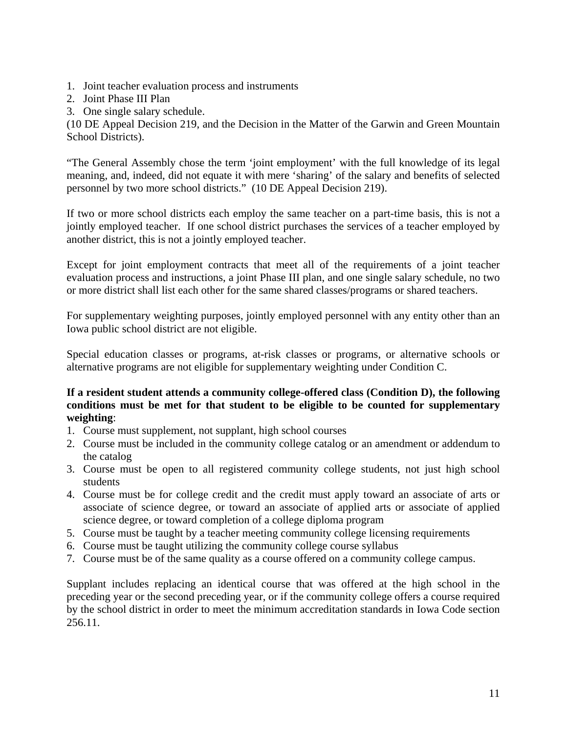- 1. Joint teacher evaluation process and instruments
- 2. Joint Phase III Plan
- 3. One single salary schedule.

(10 DE Appeal Decision 219, and the Decision in the Matter of the Garwin and Green Mountain School Districts).

"The General Assembly chose the term 'joint employment' with the full knowledge of its legal meaning, and, indeed, did not equate it with mere 'sharing' of the salary and benefits of selected personnel by two more school districts." (10 DE Appeal Decision 219).

If two or more school districts each employ the same teacher on a part-time basis, this is not a jointly employed teacher. If one school district purchases the services of a teacher employed by another district, this is not a jointly employed teacher.

Except for joint employment contracts that meet all of the requirements of a joint teacher evaluation process and instructions, a joint Phase III plan, and one single salary schedule, no two or more district shall list each other for the same shared classes/programs or shared teachers.

For supplementary weighting purposes, jointly employed personnel with any entity other than an Iowa public school district are not eligible.

Special education classes or programs, at-risk classes or programs, or alternative schools or alternative programs are not eligible for supplementary weighting under Condition C.

## **If a resident student attends a community college-offered class (Condition D), the following conditions must be met for that student to be eligible to be counted for supplementary weighting**:

- 1. Course must supplement, not supplant, high school courses
- 2. Course must be included in the community college catalog or an amendment or addendum to the catalog
- 3. Course must be open to all registered community college students, not just high school students
- 4. Course must be for college credit and the credit must apply toward an associate of arts or associate of science degree, or toward an associate of applied arts or associate of applied science degree, or toward completion of a college diploma program
- 5. Course must be taught by a teacher meeting community college licensing requirements
- 6. Course must be taught utilizing the community college course syllabus
- 7. Course must be of the same quality as a course offered on a community college campus.

Supplant includes replacing an identical course that was offered at the high school in the preceding year or the second preceding year, or if the community college offers a course required by the school district in order to meet the minimum accreditation standards in Iowa Code section 256.11.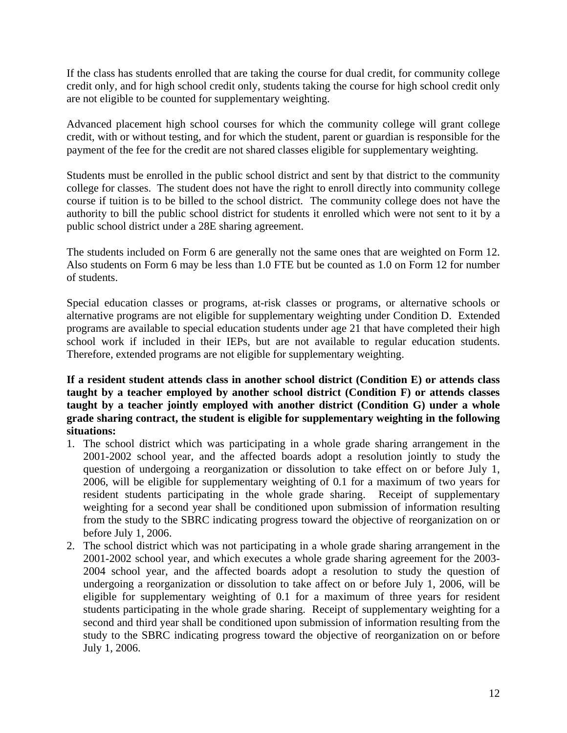If the class has students enrolled that are taking the course for dual credit, for community college credit only, and for high school credit only, students taking the course for high school credit only are not eligible to be counted for supplementary weighting.

Advanced placement high school courses for which the community college will grant college credit, with or without testing, and for which the student, parent or guardian is responsible for the payment of the fee for the credit are not shared classes eligible for supplementary weighting.

Students must be enrolled in the public school district and sent by that district to the community college for classes. The student does not have the right to enroll directly into community college course if tuition is to be billed to the school district. The community college does not have the authority to bill the public school district for students it enrolled which were not sent to it by a public school district under a 28E sharing agreement.

The students included on Form 6 are generally not the same ones that are weighted on Form 12. Also students on Form 6 may be less than 1.0 FTE but be counted as 1.0 on Form 12 for number of students.

Special education classes or programs, at-risk classes or programs, or alternative schools or alternative programs are not eligible for supplementary weighting under Condition D. Extended programs are available to special education students under age 21 that have completed their high school work if included in their IEPs, but are not available to regular education students. Therefore, extended programs are not eligible for supplementary weighting.

**If a resident student attends class in another school district (Condition E) or attends class taught by a teacher employed by another school district (Condition F) or attends classes taught by a teacher jointly employed with another district (Condition G) under a whole grade sharing contract, the student is eligible for supplementary weighting in the following situations:** 

- 1. The school district which was participating in a whole grade sharing arrangement in the 2001-2002 school year, and the affected boards adopt a resolution jointly to study the question of undergoing a reorganization or dissolution to take effect on or before July 1, 2006, will be eligible for supplementary weighting of 0.1 for a maximum of two years for resident students participating in the whole grade sharing. Receipt of supplementary weighting for a second year shall be conditioned upon submission of information resulting from the study to the SBRC indicating progress toward the objective of reorganization on or before July 1, 2006.
- 2. The school district which was not participating in a whole grade sharing arrangement in the 2001-2002 school year, and which executes a whole grade sharing agreement for the 2003- 2004 school year, and the affected boards adopt a resolution to study the question of undergoing a reorganization or dissolution to take affect on or before July 1, 2006, will be eligible for supplementary weighting of 0.1 for a maximum of three years for resident students participating in the whole grade sharing. Receipt of supplementary weighting for a second and third year shall be conditioned upon submission of information resulting from the study to the SBRC indicating progress toward the objective of reorganization on or before July 1, 2006.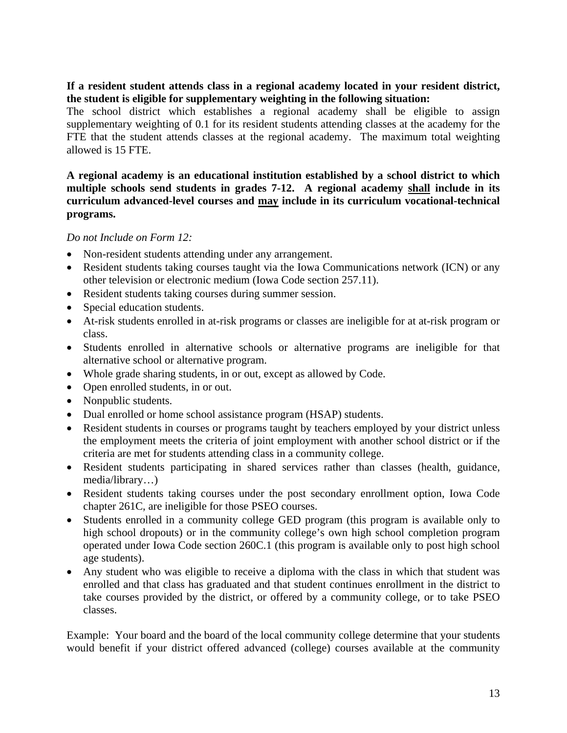## **If a resident student attends class in a regional academy located in your resident district, the student is eligible for supplementary weighting in the following situation:**

The school district which establishes a regional academy shall be eligible to assign supplementary weighting of 0.1 for its resident students attending classes at the academy for the FTE that the student attends classes at the regional academy. The maximum total weighting allowed is 15 FTE.

## **A regional academy is an educational institution established by a school district to which multiple schools send students in grades 7-12. A regional academy shall include in its curriculum advanced-level courses and may include in its curriculum vocational-technical programs.**

## *Do not Include on Form 12:*

- Non-resident students attending under any arrangement.
- Resident students taking courses taught via the Iowa Communications network (ICN) or any other television or electronic medium (Iowa Code section 257.11).
- Resident students taking courses during summer session.
- Special education students.
- At-risk students enrolled in at-risk programs or classes are ineligible for at at-risk program or class.
- Students enrolled in alternative schools or alternative programs are ineligible for that alternative school or alternative program.
- Whole grade sharing students, in or out, except as allowed by Code.
- Open enrolled students, in or out.
- Nonpublic students.
- Dual enrolled or home school assistance program (HSAP) students.
- Resident students in courses or programs taught by teachers employed by your district unless the employment meets the criteria of joint employment with another school district or if the criteria are met for students attending class in a community college.
- Resident students participating in shared services rather than classes (health, guidance, media/library…)
- Resident students taking courses under the post secondary enrollment option, Iowa Code chapter 261C, are ineligible for those PSEO courses.
- Students enrolled in a community college GED program (this program is available only to high school dropouts) or in the community college's own high school completion program operated under Iowa Code section 260C.1 (this program is available only to post high school age students).
- Any student who was eligible to receive a diploma with the class in which that student was enrolled and that class has graduated and that student continues enrollment in the district to take courses provided by the district, or offered by a community college, or to take PSEO classes.

Example: Your board and the board of the local community college determine that your students would benefit if your district offered advanced (college) courses available at the community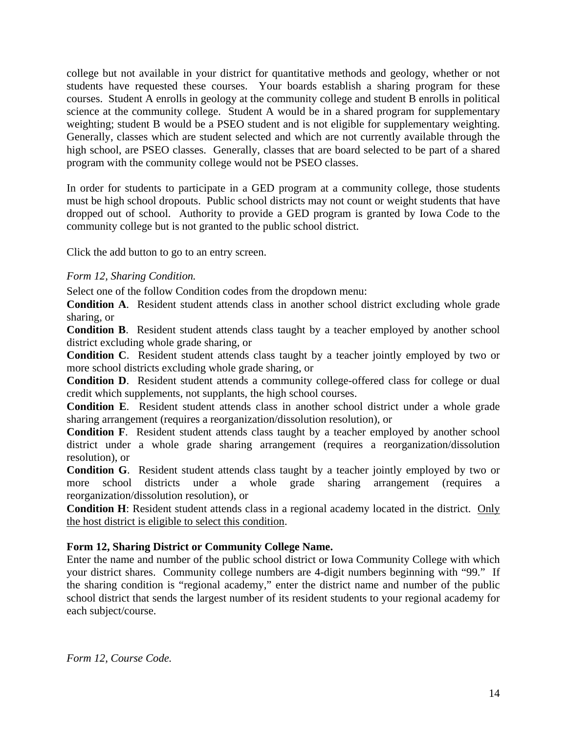college but not available in your district for quantitative methods and geology, whether or not students have requested these courses. Your boards establish a sharing program for these courses. Student A enrolls in geology at the community college and student B enrolls in political science at the community college. Student A would be in a shared program for supplementary weighting; student B would be a PSEO student and is not eligible for supplementary weighting. Generally, classes which are student selected and which are not currently available through the high school, are PSEO classes. Generally, classes that are board selected to be part of a shared program with the community college would not be PSEO classes.

In order for students to participate in a GED program at a community college, those students must be high school dropouts. Public school districts may not count or weight students that have dropped out of school. Authority to provide a GED program is granted by Iowa Code to the community college but is not granted to the public school district.

Click the add button to go to an entry screen.

## *Form 12, Sharing Condition.*

Select one of the follow Condition codes from the dropdown menu:

**Condition A**. Resident student attends class in another school district excluding whole grade sharing, or

**Condition B**. Resident student attends class taught by a teacher employed by another school district excluding whole grade sharing, or

**Condition C**. Resident student attends class taught by a teacher jointly employed by two or more school districts excluding whole grade sharing, or

**Condition D**. Resident student attends a community college-offered class for college or dual credit which supplements, not supplants, the high school courses.

**Condition E**. Resident student attends class in another school district under a whole grade sharing arrangement (requires a reorganization/dissolution resolution), or

**Condition F**. Resident student attends class taught by a teacher employed by another school district under a whole grade sharing arrangement (requires a reorganization/dissolution resolution), or

**Condition G**. Resident student attends class taught by a teacher jointly employed by two or more school districts under a whole grade sharing arrangement (requires a reorganization/dissolution resolution), or

**Condition H**: Resident student attends class in a regional academy located in the district. Only the host district is eligible to select this condition.

## **Form 12, Sharing District or Community College Name.**

Enter the name and number of the public school district or Iowa Community College with which your district shares. Community college numbers are 4-digit numbers beginning with "99." If the sharing condition is "regional academy," enter the district name and number of the public school district that sends the largest number of its resident students to your regional academy for each subject/course.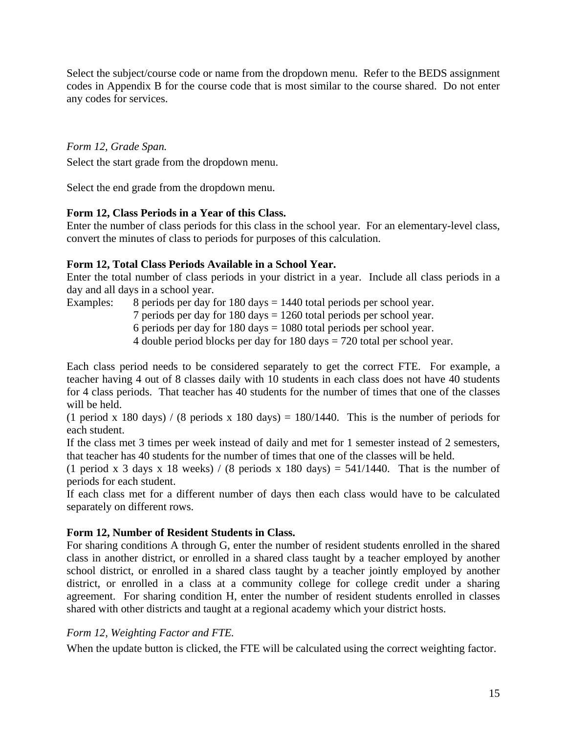Select the subject/course code or name from the dropdown menu. Refer to the BEDS assignment codes in Appendix B for the course code that is most similar to the course shared. Do not enter any codes for services.

## *Form 12, Grade Span.*

Select the start grade from the dropdown menu.

Select the end grade from the dropdown menu.

## **Form 12, Class Periods in a Year of this Class.**

Enter the number of class periods for this class in the school year. For an elementary-level class, convert the minutes of class to periods for purposes of this calculation.

## **Form 12, Total Class Periods Available in a School Year.**

Enter the total number of class periods in your district in a year. Include all class periods in a day and all days in a school year.

Examples: 8 periods per day for 180 days = 1440 total periods per school year.

7 periods per day for 180 days = 1260 total periods per school year.

6 periods per day for  $180 \text{ days} = 1080 \text{ total periods per school year.}$ 

4 double period blocks per day for 180 days = 720 total per school year.

Each class period needs to be considered separately to get the correct FTE. For example, a teacher having 4 out of 8 classes daily with 10 students in each class does not have 40 students for 4 class periods. That teacher has 40 students for the number of times that one of the classes will be held.

(1 period x 180 days) / (8 periods x 180 days) = 180/1440. This is the number of periods for each student.

If the class met 3 times per week instead of daily and met for 1 semester instead of 2 semesters, that teacher has 40 students for the number of times that one of the classes will be held.

(1 period x 3 days x 18 weeks) / (8 periods x 180 days) =  $541/1440$ . That is the number of periods for each student.

If each class met for a different number of days then each class would have to be calculated separately on different rows.

#### **Form 12, Number of Resident Students in Class.**

For sharing conditions A through G, enter the number of resident students enrolled in the shared class in another district, or enrolled in a shared class taught by a teacher employed by another school district, or enrolled in a shared class taught by a teacher jointly employed by another district, or enrolled in a class at a community college for college credit under a sharing agreement. For sharing condition H, enter the number of resident students enrolled in classes shared with other districts and taught at a regional academy which your district hosts.

## *Form 12, Weighting Factor and FTE.*

When the update button is clicked, the FTE will be calculated using the correct weighting factor.